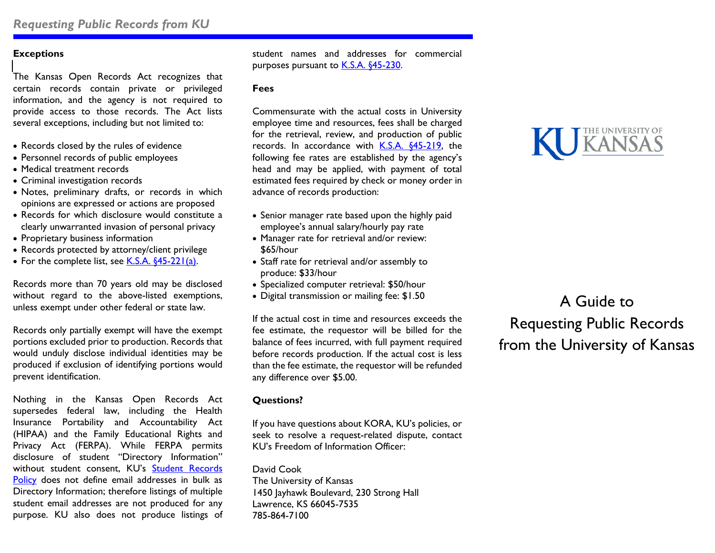# **Exceptions**

The Kansas Open Records Act recognizes that certain records contain private or privileged information, and the agency is not required to provide access to those records. The Act lists several exceptions, including but not limited to:

- Records closed by the rules of evidence
- Personnel records of public employees
- Medical treatment records
- Criminal investigation records
- Notes, preliminary drafts, or records in which opinions are expressed or actions are proposed
- Records for which disclosure would constitute a clearly unwarranted invasion of personal privacy
- Proprietary business information
- Records protected by attorney/client privilege
- For the complete list, see [K.S.A. §45-221\(a\).](http://kslegislature.org/li_2014/b2013_14/statute/045_000_0000_chapter/045_002_0000_article/045_002_0021_section/045_002_0021_k/)

Records more than 70 years old may be disclosed without regard to the above-listed exemptions, unless exempt under other federal or state law.

Records only partially exempt will have the exempt portions excluded prior to production. Records that would unduly disclose individual identities may be produced if exclusion of identifying portions would prevent identification.

Nothing in the Kansas Open Records Act supersedes federal law, including the Health Insurance Portability and Accountability Act (HIPAA) and the Family Educational Rights and Privacy Act (FERPA). While FERPA permits disclosure of student "Directory Information" without student consent, KU's [Student Records](http://policy.ku.edu/registrar/student-record-policy#definitions)  [Policy](http://policy.ku.edu/registrar/student-record-policy#definitions) does not define email addresses in bulk as Directory Information; therefore listings of multiple student email addresses are not produced for any purpose. KU also does not produce listings of

student names and addresses for commercial purposes pursuant to **K.S.A. §45-230.** 

#### **Fees**

Commensurate with the actual costs in University employee time and resources, fees shall be charged for the retrieval, review, and production of public records. In accordance with [K.S.A. §45-219,](http://www.kslegislature.org/li_2012/b2011_12/statute/045_000_0000_chapter/045_002_0000_article/045_002_0019_section/045_002_0019_k/) the following fee rates are established by the agency's head and may be applied, with payment of total estimated fees required by check or money order in advance of records production:

- Senior manager rate based upon the highly paid employee's annual salary/hourly pay rate
- Manager rate for retrieval and/or review: \$65/hour
- Staff rate for retrieval and/or assembly to produce: \$33/hour
- Specialized computer retrieval: \$50/hour
- Digital transmission or mailing fee: \$1.50

If the actual cost in time and resources exceeds the fee estimate, the requestor will be billed for the balance of fees incurred, with full payment required before records production. If the actual cost is less than the fee estimate, the requestor will be refunded any difference over \$5.00.

### **Questions?**

If you have questions about KORA, KU's policies, or seek to resolve a request-related dispute, contact KU's Freedom of Information Officer:

David Cook The University of Kansas 1450 Jayhawk Boulevard, 230 Strong Hall Lawrence, KS 66045-7535 785-864-7100



A Guide to Requesting Public Records from the University of Kansas